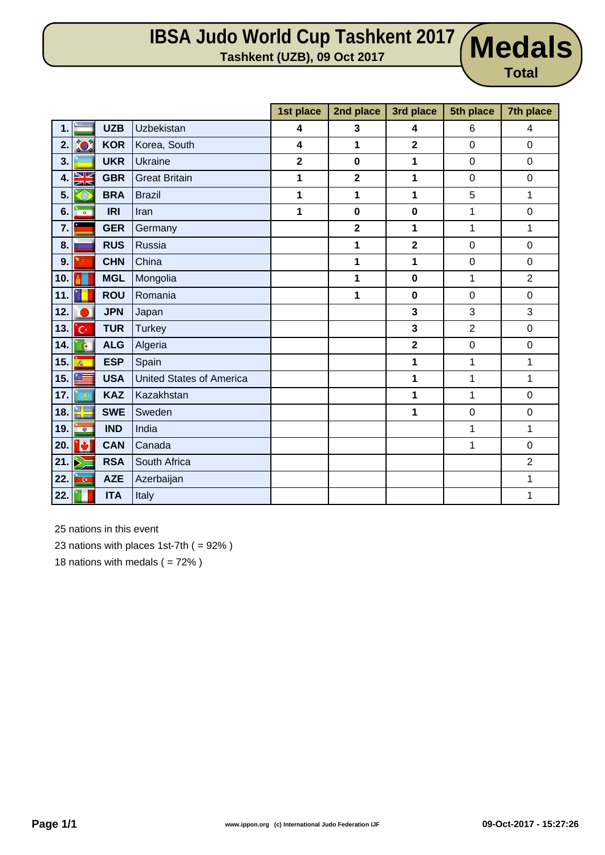## **IBSA Judo World Cup Tashkent 2017 Tashkent (UZB), 09 Oct 2017 Medals**

**Medals** 

|     |                  |            |                                 | 1st place               | 2nd place               | 3rd place               | 5th place      | 7th place        |
|-----|------------------|------------|---------------------------------|-------------------------|-------------------------|-------------------------|----------------|------------------|
| 1.  |                  | <b>UZB</b> | Uzbekistan                      | 4                       | 3                       | 4                       | 6              | 4                |
| 2.  | $\sum_{i=1}^{N}$ | <b>KOR</b> | Korea, South                    | 4                       | 1                       | $\overline{\mathbf{2}}$ | $\mathbf 0$    | $\mathbf 0$      |
| 3.  |                  | <b>UKR</b> | <b>Ukraine</b>                  | $\overline{\mathbf{2}}$ | $\mathbf 0$             | 1                       | $\pmb{0}$      | 0                |
| 4.  | NØ<br>不下         | <b>GBR</b> | <b>Great Britain</b>            | 1                       | $\overline{\mathbf{2}}$ | 1                       | $\mathbf 0$    | $\mathsf 0$      |
| 5.  | A                | <b>BRA</b> | <b>Brazil</b>                   | 1                       | 1                       | 1                       | 5              | 1                |
| 6.  | $\bullet$        | <b>IRI</b> | Iran                            | 1                       | $\mathbf 0$             | $\bf{0}$                | 1              | $\boldsymbol{0}$ |
| 7.  |                  | <b>GER</b> | Germany                         |                         | $\overline{\mathbf{2}}$ | 1                       | 1              | 1                |
| 8.  |                  | <b>RUS</b> | Russia                          |                         | 1                       | $\overline{\mathbf{2}}$ | $\mathbf 0$    | $\mathbf 0$      |
| 9.  |                  | <b>CHN</b> | China                           |                         | 1                       | 1                       | $\pmb{0}$      | $\mathsf 0$      |
| 10. |                  | <b>MGL</b> | Mongolia                        |                         | 1                       | $\bf{0}$                | 1              | $\overline{2}$   |
| 11. |                  | <b>ROU</b> | Romania                         |                         | 1                       | $\bf{0}$                | $\mathbf 0$    | $\mathsf 0$      |
| 12. |                  | <b>JPN</b> | Japan                           |                         |                         | 3                       | 3              | 3                |
| 13. | 'c٠              | <b>TUR</b> | <b>Turkey</b>                   |                         |                         | 3                       | $\overline{2}$ | 0                |
| 14. | $\mathbf{G}$     | <b>ALG</b> | Algeria                         |                         |                         | $\overline{\mathbf{2}}$ | $\pmb{0}$      | 0                |
| 15. | 氥                | <b>ESP</b> | Spain                           |                         |                         | 1                       | 1              | 1                |
| 15. |                  | <b>USA</b> | <b>United States of America</b> |                         |                         | 1                       | 1              | 1                |
| 17. |                  | <b>KAZ</b> | Kazakhstan                      |                         |                         | 1                       | 1              | $\mathbf 0$      |
| 18. | N.               | <b>SWE</b> | Sweden                          |                         |                         | 1                       | $\mathbf 0$    | $\mathsf 0$      |
| 19. | $\bullet$        | <b>IND</b> | India                           |                         |                         |                         | 1              | 1                |
| 20. | iė.              | <b>CAN</b> | Canada                          |                         |                         |                         | 1              | $\mathsf 0$      |
| 21. | Þ                | <b>RSA</b> | South Africa                    |                         |                         |                         |                | $\overline{2}$   |
| 22. | $\overline{G}$   | <b>AZE</b> | Azerbaijan                      |                         |                         |                         |                | 1                |
| 22. |                  | <b>ITA</b> | Italy                           |                         |                         |                         |                | 1                |

25 nations in this event

23 nations with places 1st-7th  $( = 92\%)$ 

18 nations with medals  $( = 72\%)$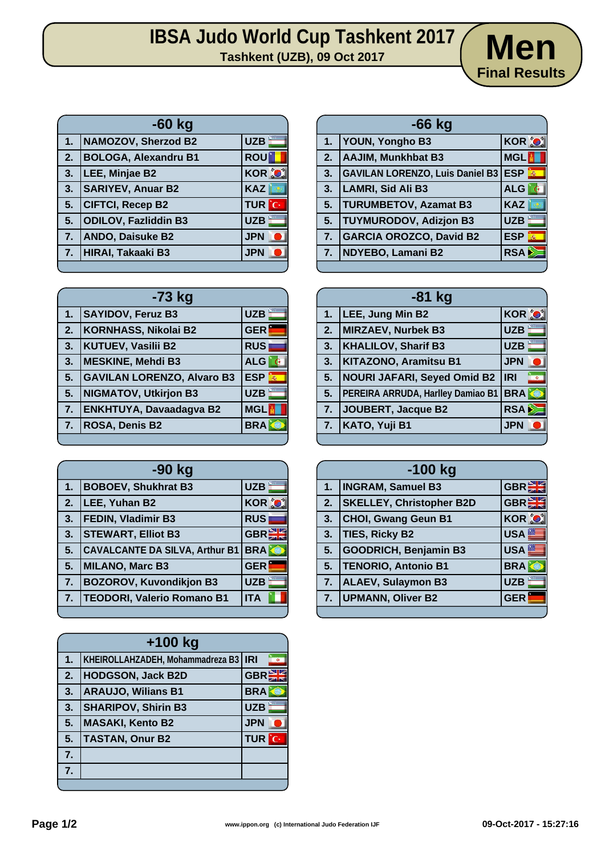## **IBSA Judo World Cup Tashkent 2017**<br> **Tashkent (UZB), 09 Oct 2017**



| $-60$ kg                    |              |  |  |  |
|-----------------------------|--------------|--|--|--|
| NAMOZOV, Sherzod B2         | <b>UZB</b>   |  |  |  |
| <b>BOLOGA, Alexandru B1</b> | <b>ROU</b>   |  |  |  |
| LEE, Minjae B2              | <b>KOR O</b> |  |  |  |
| <b>SARIYEV, Anuar B2</b>    | <b>KAZ</b>   |  |  |  |
| <b>CIFTCI, Recep B2</b>     | <b>TUR</b> C |  |  |  |
| <b>ODILOV, Fazliddin B3</b> | <b>UZB</b>   |  |  |  |
| <b>ANDO, Daisuke B2</b>     | <b>JPN</b>   |  |  |  |
| 7. HIRAI, Takaaki B3        | <b>JPN</b>   |  |  |  |
|                             |              |  |  |  |

|    | $-66$ kg                                   |                 |  |  |  |
|----|--------------------------------------------|-----------------|--|--|--|
| 1. | <b>YOUN, Yongho B3</b>                     | <b>KOR O</b>    |  |  |  |
| 2. | AAJIM, Munkhbat B3                         | <b>MGL</b>      |  |  |  |
| 3. | <b>GAVILAN LORENZO, Luis Daniel B3 ESP</b> |                 |  |  |  |
| 3. | LAMRI, Sid Ali B3                          | <b>ALG</b>      |  |  |  |
| 5. | <b>TURUMBETOV, Azamat B3</b>               | <b>KAZ</b>      |  |  |  |
| 5. | <b>TUYMURODOV, Adizjon B3</b>              | <b>UZB</b>      |  |  |  |
| 7. | <b>GARCIA OROZCO, David B2</b>             | <b>ESP</b><br>轟 |  |  |  |
| 7. | NDYEBO, Lamani B2                          | RSA             |  |  |  |
|    |                                            |                 |  |  |  |

| $-73$ kg |                                   |                 |  |  |
|----------|-----------------------------------|-----------------|--|--|
| 1.       | <b>SAYIDOV, Feruz B3</b>          | <b>UZB</b>      |  |  |
| 2.       | <b>KORNHASS, Nikolai B2</b>       | <b>GER</b>      |  |  |
| 3.       | <b>KUTUEV, Vasilii B2</b>         | <b>RUS</b>      |  |  |
| 3.       | <b>MESKINE, Mehdi B3</b>          | <b>ALG</b>      |  |  |
| 5.       | <b>GAVILAN LORENZO, Alvaro B3</b> | <b>ESP</b><br>燕 |  |  |
| 5.       | <b>NIGMATOV, Utkirjon B3</b>      | <b>UZB</b>      |  |  |
| 7.       | <b>ENKHTUYA, Davaadagva B2</b>    | <b>MGL</b>      |  |  |
| 7.       | ROSA, Denis B2                    | <b>BRA</b>      |  |  |
|          |                                   |                 |  |  |

| -90 kg |                                       |              |  |
|--------|---------------------------------------|--------------|--|
| 1.     | <b>BOBOEV, Shukhrat B3</b>            | <b>UZB</b>   |  |
| 2.     | LEE, Yuhan B2                         | <b>KOR O</b> |  |
| 3.     | <b>FEDIN, Vladimir B3</b>             | <b>RUS</b>   |  |
| 3.     | <b>STEWART, Elliot B3</b>             | <b>GBRE</b>  |  |
| 5.     | <b>CAVALCANTE DA SILVA, Arthur B1</b> | <b>BRA</b>   |  |
| 5.     | <b>MILANO, Marc B3</b>                | <b>GER</b>   |  |
| 7.     | <b>BOZOROV, Kuvondikjon B3</b>        | <b>UZB</b>   |  |
| 7.     | <b>TEODORI, Valerio Romano B1</b>     | <b>ITA</b>   |  |
|        |                                       |              |  |

|    | $+100$ kg                              |                  |     |  |  |
|----|----------------------------------------|------------------|-----|--|--|
| 1. | KHEIROLLAHZADEH, Mohammadreza B3   IRI |                  |     |  |  |
| 2. | <b>HODGSON, Jack B2D</b>               | GBR <sup>S</sup> |     |  |  |
| 3. | <b>ARAUJO, Wilians B1</b>              | <b>BRA</b>       |     |  |  |
| 3. | <b>SHARIPOV, Shirin B3</b>             | <b>UZB</b>       |     |  |  |
| 5. | <b>MASAKI, Kento B2</b>                | <b>JPN</b>       |     |  |  |
| 5. | <b>TASTAN, Onur B2</b>                 | <b>TUR</b>       | îс. |  |  |
| 7. |                                        |                  |     |  |  |
| 7. |                                        |                  |     |  |  |
|    |                                        |                  |     |  |  |

|    | $-81$ kg                           |                         |  |  |  |
|----|------------------------------------|-------------------------|--|--|--|
| 1. | LEE, Jung Min B2                   | <b>KOR O</b>            |  |  |  |
| 2. | <b>MIRZAEV, Nurbek B3</b>          | <b>UZB</b>              |  |  |  |
| 3. | <b>KHALILOV, Sharif B3</b>         | <b>UZB</b>              |  |  |  |
| 3. | <b>KITAZONO, Aramitsu B1</b>       | <b>JPN</b>              |  |  |  |
| 5. | <b>NOURI JAFARI, Seyed Omid B2</b> | <b>IRI</b><br><b>MO</b> |  |  |  |
| 5. | PEREIRA ARRUDA, Harlley Damiao B1  | <b>BRA</b>              |  |  |  |
| 7. | JOUBERT, Jacque B2                 | <b>RSA</b>              |  |  |  |
| 7. | KATO, Yuji B1                      | <b>JPN</b>              |  |  |  |
|    |                                    |                         |  |  |  |

| $-100$ kg |                                 |                  |  |
|-----------|---------------------------------|------------------|--|
| 1.        | <b>INGRAM, Samuel B3</b>        | <b>GBREE</b>     |  |
| 2.        | <b>SKELLEY, Christopher B2D</b> | <b>GBREE</b>     |  |
| 3.        | <b>CHOI, Gwang Geun B1</b>      | <b>KOR O</b>     |  |
| 3.        | TIES, Ricky B2                  | <b>USA</b>       |  |
| 5.        | <b>GOODRICH, Benjamin B3</b>    | USA <sup>E</sup> |  |
| 5.        | TENORIO, Antonio B1             | <b>BRA</b>       |  |
| 7.        | <b>ALAEV, Sulaymon B3</b>       | <b>UZB</b>       |  |
|           | 7. UPMANN, Oliver B2            | <b>GER</b>       |  |
|           |                                 |                  |  |